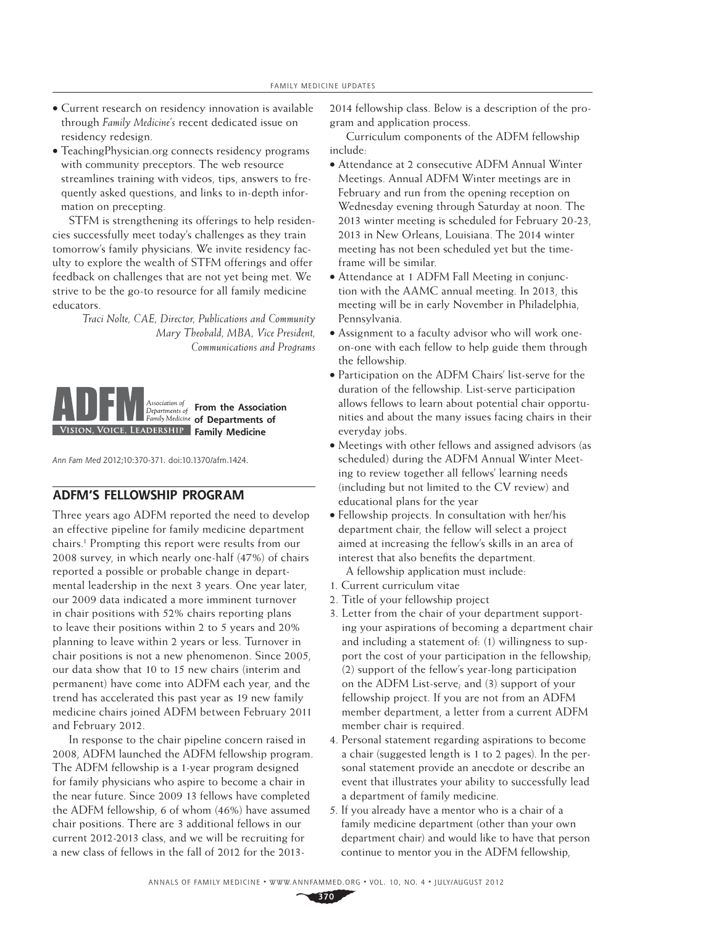- Current research on residency innovation is available through *Family Medicine's* recent dedicated issue on residency redesign.
- TeachingPhysician.org connects residency programs with community preceptors. The web resource streamlines training with videos, tips, answers to frequently asked questions, and links to in-depth information on precepting.

STFM is strengthening its offerings to help residencies successfully meet today's challenges as they train tomorrow's family physicians. We invite residency faculty to explore the wealth of STFM offerings and offer feedback on challenges that are not yet being met. We strive to be the go-to resource for all family medicine educators.

> *Traci Nolte, CAE, Director, Publications and Community Mary Theobald, MBA, Vice President, Communications and Programs*



Ann Fam Med 2012;10:370-371. doi:10.1370/afm.1424.

## **ADFM'S FELLOWSHIP PROGRAM**

Three years ago ADFM reported the need to develop an effective pipeline for family medicine department chairs.1 Prompting this report were results from our 2008 survey, in which nearly one-half (47%) of chairs reported a possible or probable change in departmental leadership in the next 3 years. One year later, our 2009 data indicated a more imminent turnover in chair positions with 52% chairs reporting plans to leave their positions within 2 to 5 years and 20% planning to leave within 2 years or less. Turnover in chair positions is not a new phenomenon. Since 2005, our data show that 10 to 15 new chairs (interim and permanent) have come into ADFM each year, and the trend has accelerated this past year as 19 new family medicine chairs joined ADFM between February 2011 and February 2012.

In response to the chair pipeline concern raised in 2008, ADFM launched the ADFM fellowship program. The ADFM fellowship is a 1-year program designed for family physicians who aspire to become a chair in the near future. Since 2009 13 fellows have completed the ADFM fellowship, 6 of whom (46%) have assumed chair positions. There are 3 additional fellows in our current 2012-2013 class, and we will be recruiting for a new class of fellows in the fall of 2012 for the 20132014 fellowship class. Below is a description of the program and application process.

Curriculum components of the ADFM fellowship include:

- Attendance at 2 consecutive ADFM Annual Winter Meetings. Annual ADFM Winter meetings are in February and run from the opening reception on Wednesday evening through Saturday at noon. The 2013 winter meeting is scheduled for February 20-23, 2013 in New Orleans, Louisiana. The 2014 winter meeting has not been scheduled yet but the timeframe will be similar.
- Attendance at 1 ADFM Fall Meeting in conjunction with the AAMC annual meeting. In 2013, this meeting will be in early November in Philadelphia, Pennsylvania.
- Assignment to a faculty advisor who will work oneon-one with each fellow to help guide them through the fellowship.
- Participation on the ADFM Chairs' list-serve for the duration of the fellowship. List-serve participation allows fellows to learn about potential chair opportunities and about the many issues facing chairs in their everyday jobs.
- Meetings with other fellows and assigned advisors (as scheduled) during the ADFM Annual Winter Meeting to review together all fellows' learning needs (including but not limited to the CV review) and educational plans for the year
- Fellowship projects. In consultation with her/his department chair, the fellow will select a project aimed at increasing the fellow's skills in an area of interest that also benefits the department.

A fellowship application must include:

- 1. Current curriculum vitae
- 2. Title of your fellowship project
- 3. Letter from the chair of your department supporting your aspirations of becoming a department chair and including a statement of: (1) willingness to support the cost of your participation in the fellowship; (2) support of the fellow's year-long participation on the ADFM List-serve; and (3) support of your fellowship project. If you are not from an ADFM member department, a letter from a current ADFM member chair is required.
- 4. Personal statement regarding aspirations to become a chair (suggested length is 1 to 2 pages). In the personal statement provide an anecdote or describe an event that illustrates your ability to successfully lead a department of family medicine.
- 5. If you already have a mentor who is a chair of a family medicine department (other than your own department chair) and would like to have that person continue to mentor you in the ADFM fellowship,